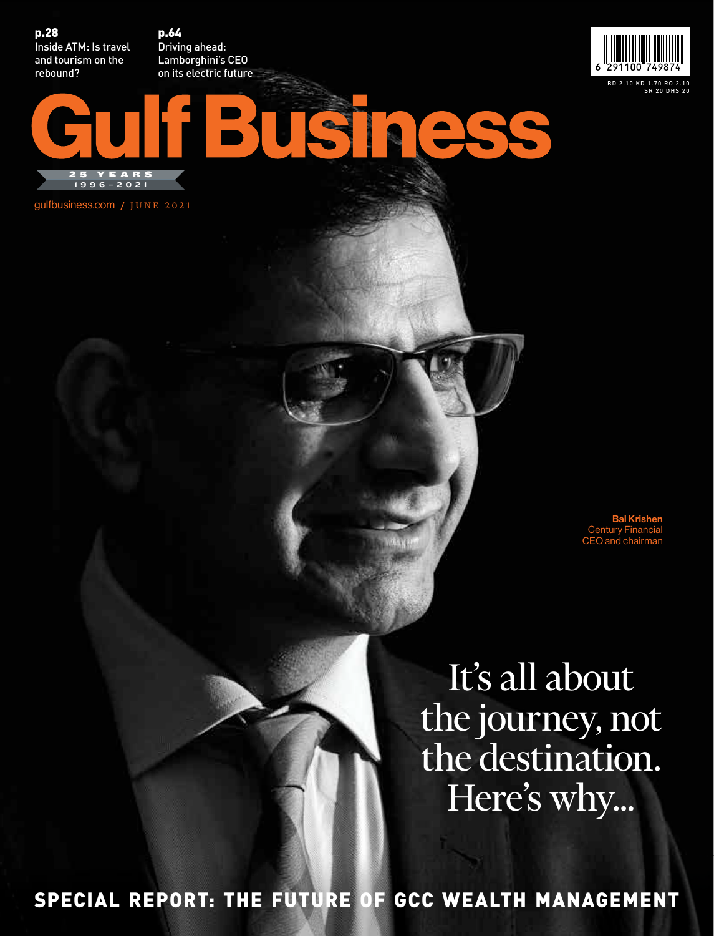p.28 Inside ATM: Is travel and tourism on the rebound?

p.64 Driving ahead: Lamborghini's CEO on its electric future



**YEAR** 

gulfbusiness.com / JUNE 2021 1996–2021

> Bal Krishen Century Financial CEO and chairman

It's all about the journey, not the destination. Here's why...

SPECIAL REPORT: THE FUTURE OF GCC WEALTH MANAGEMENT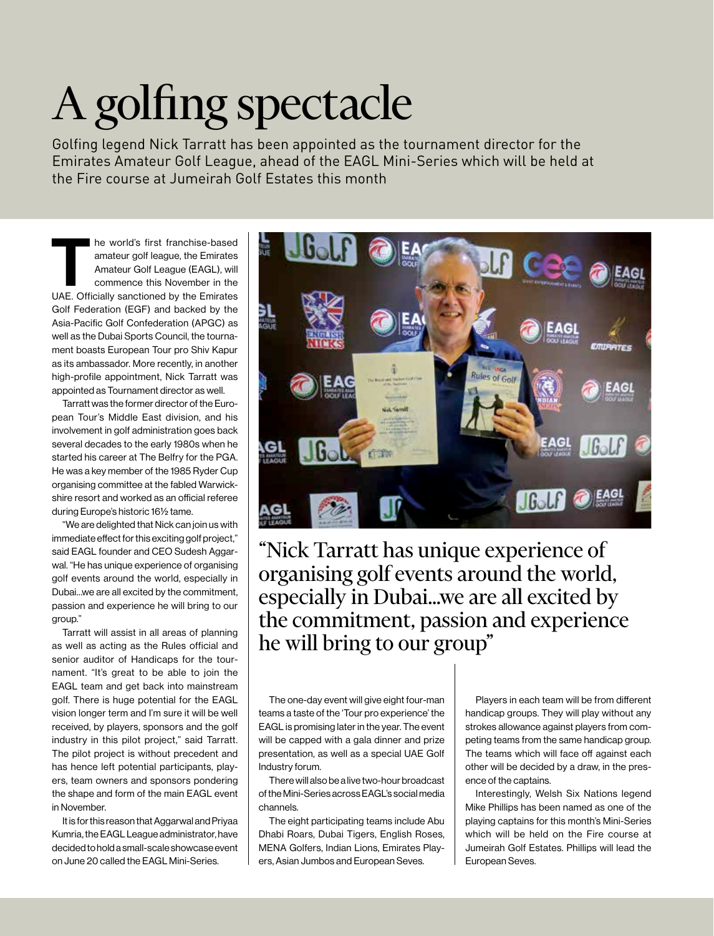## [A golfing spectacle](http://www.eagl.ae/)

Golfing legend Nick Tarratt has been appointed as the tournament director for the Emirates Amateur Golf League, ahead of the EAGL Mini-Series which will be held at the Fire course at Jumeirah Golf Estates this month

he world's first franchise-based amateur golf league, the Emirates Amateur Golf League (EAGL), will commence this November in the UAE. Officially sanctioned by the Emirates Golf Federation (EGF) and backed by the Asia-Pacific Golf Confederation (APGC) as well as the Dubai Sports Council, the tournament boasts European Tour pro Shiv Kapur as its ambassador. More recently, in another high-profile appointment, Nick Tarratt was appointed as Tournament director as well.

Tarratt was the former director of the European Tour's Middle East division, and his involvement in golf administration goes back several decades to the early 1980s when he started his career at The Belfry for the PGA. He was a key member of the 1985 Ryder Cup organising committee at the fabled Warwickshire resort and worked as an official referee during Europe's historic 16½ tame.

"We are delighted that Nick can join us with immediate effect for this exciting golf project," said EAGL founder and CEO Sudesh Aggarwal. "He has unique experience of organising golf events around the world, especially in Dubai…we are all excited by the commitment, passion and experience he will bring to our group."

Tarratt will assist in all areas of planning as well as acting as the Rules official and senior auditor of Handicaps for the tournament. "It's great to be able to join the EAGL team and get back into mainstream golf. There is huge potential for the EAGL vision longer term and I'm sure it will be well received, by players, sponsors and the golf industry in this pilot project," said Tarratt. The pilot project is without precedent and has hence left potential participants, players, team owners and sponsors pondering the shape and form of the main EAGL event in November.

It is for this reason that Aggarwal and Priyaa Kumria, the EAGL League administrator, have decided to hold a small-scale showcase event on June 20 called the EAGL Mini-Series.



"Nick Tarratt has unique experience of organising golf events around the world, especially in Dubai…we are all excited by the commitment, passion and experience he will bring to our group"

The one-day event will give eight four-man teams a taste of the 'Tour pro experience' the EAGL is promising later in the year. The event will be capped with a gala dinner and prize presentation, as well as a special UAE Golf Industry forum.

There will also be a live two-hour broadcast of the Mini-Series across EAGL's social media channels.

The eight participating teams include Abu Dhabi Roars, Dubai Tigers, English Roses, MENA Golfers, Indian Lions, Emirates Players, Asian Jumbos and European Seves.

Players in each team will be from different handicap groups. They will play without any strokes allowance against players from competing teams from the same handicap group. The teams which will face off against each other will be decided by a draw, in the presence of the captains.

Interestingly, Welsh Six Nations legend Mike Phillips has been named as one of the playing captains for this month's Mini-Series which will be held on the Fire course at Jumeirah Golf Estates. Phillips will lead the European Seves.